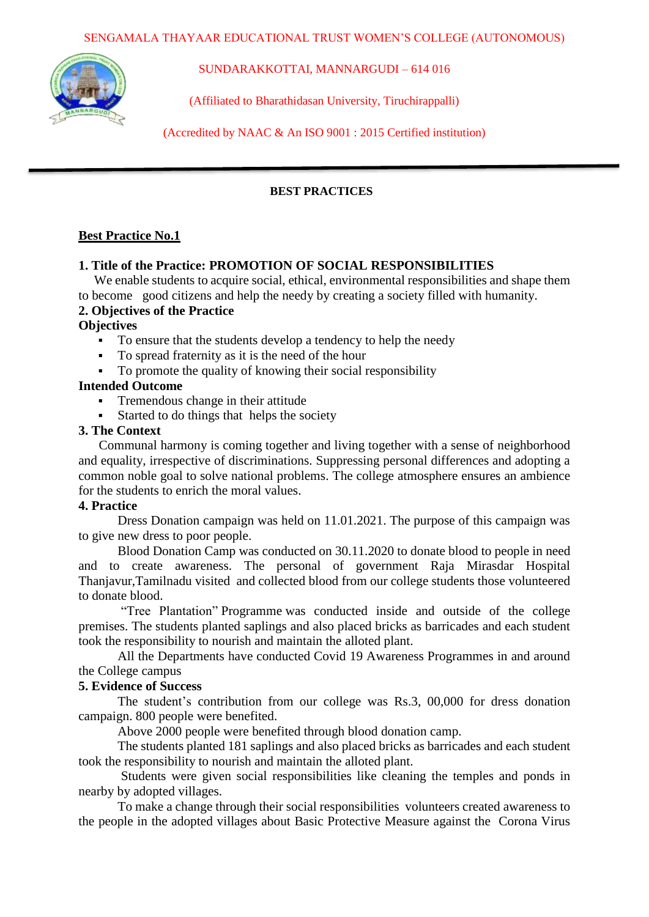

SUNDARAKKOTTAI, MANNARGUDI – 614 016

(Affiliated to Bharathidasan University, Tiruchirappalli)

(Accredited by NAAC & An ISO 9001 : 2015 Certified institution)

## **BEST PRACTICES**

## **Best Practice No.1**

## **1. Title of the Practice: PROMOTION OF SOCIAL RESPONSIBILITIES**

We enable students to acquire social, ethical, environmental responsibilities and shape them to become good citizens and help the needy by creating a society filled with humanity.

## **2. Objectives of the Practice**

#### **Objectives**

- To ensure that the students develop a tendency to help the needy
- To spread fraternity as it is the need of the hour
- To promote the quality of knowing their social responsibility

#### **Intended Outcome**

- Tremendous change in their attitude
- Started to do things that helps the society

#### **3. The Context**

Communal harmony is coming together and living together with a sense of neighborhood and equality, irrespective of discriminations. Suppressing personal differences and adopting a common noble goal to solve national problems. The college atmosphere ensures an ambience for the students to enrich the moral values.

#### **4. Practice**

Dress Donation campaign was held on 11.01.2021. The purpose of this campaign was to give new dress to poor people.

Blood Donation Camp was conducted on 30.11.2020 to donate blood to people in need and to create awareness. The personal of government Raja Mirasdar Hospital Thanjavur,Tamilnadu visited and collected blood from our college students those volunteered to donate blood.

"Tree Plantation" Programme was conducted inside and outside of the college premises. The students planted saplings and also placed bricks as barricades and each student took the responsibility to nourish and maintain the alloted plant.

All the Departments have conducted Covid 19 Awareness Programmes in and around the College campus

#### **5. Evidence of Success**

The student's contribution from our college was Rs.3, 00,000 for dress donation campaign. 800 people were benefited.

Above 2000 people were benefited through blood donation camp.

The students planted 181 saplings and also placed bricks as barricades and each student took the responsibility to nourish and maintain the alloted plant.

 Students were given social responsibilities like cleaning the temples and ponds in nearby by adopted villages.

 To make a change through their social responsibilities volunteers created awareness to the people in the adopted villages about Basic Protective Measure against the Corona Virus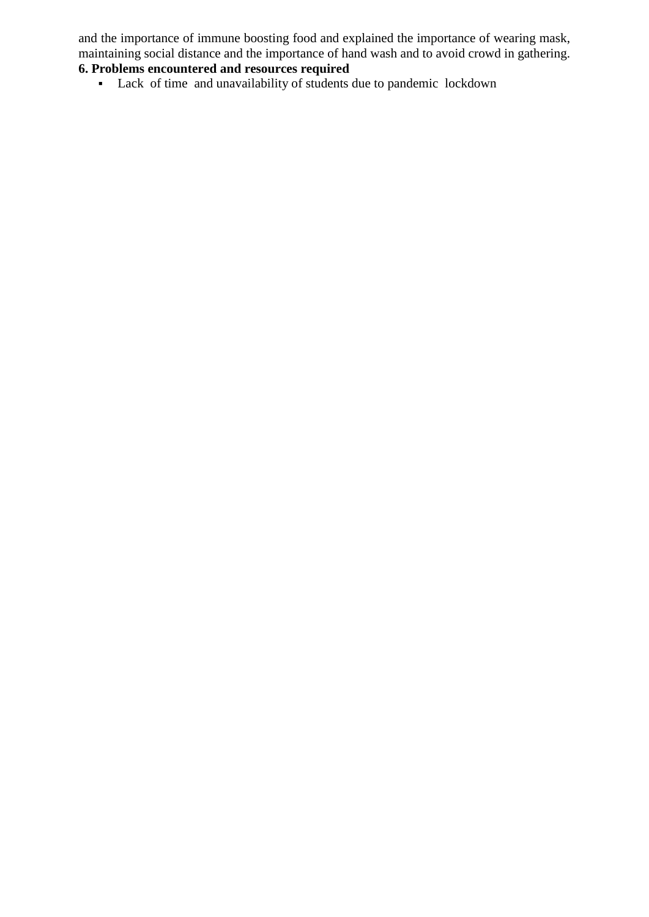and the importance of immune boosting food and explained the importance of wearing mask, maintaining social distance and the importance of hand wash and to avoid crowd in gathering.

# **6. Problems encountered and resources required**

Lack of time and unavailability of students due to pandemic lockdown